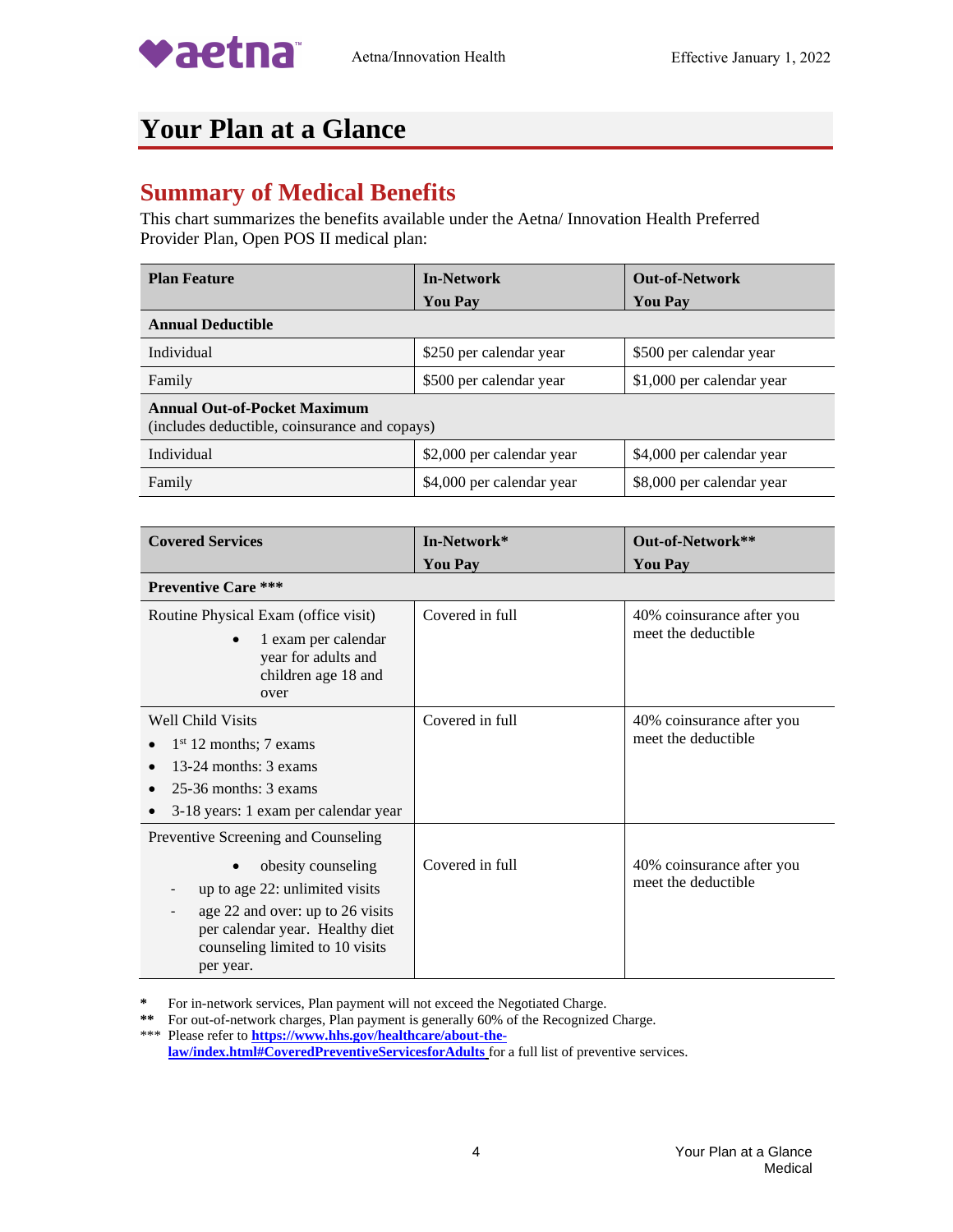

## **Your Plan at a Glance**

## **Summary of Medical Benefits**

This chart summarizes the benefits available under the Aetna/ Innovation Health Preferred Provider Plan, Open POS II medical plan:

| <b>Plan Feature</b>                                                                  | <b>In-Network</b>         | <b>Out-of-Network</b>     |  |
|--------------------------------------------------------------------------------------|---------------------------|---------------------------|--|
|                                                                                      | <b>You Pay</b>            | <b>You Pay</b>            |  |
| <b>Annual Deductible</b>                                                             |                           |                           |  |
| Individual                                                                           | \$250 per calendar year   | \$500 per calendar year   |  |
| Family                                                                               | \$500 per calendar year   | \$1,000 per calendar year |  |
| <b>Annual Out-of-Pocket Maximum</b><br>(includes deductible, coinsurance and copays) |                           |                           |  |
| Individual                                                                           | \$2,000 per calendar year | \$4,000 per calendar year |  |
| Family                                                                               | \$4,000 per calendar year | \$8,000 per calendar year |  |

| <b>Covered Services</b>                                                                                                                                                                                            | In-Network*     | Out-of-Network**                                 |
|--------------------------------------------------------------------------------------------------------------------------------------------------------------------------------------------------------------------|-----------------|--------------------------------------------------|
|                                                                                                                                                                                                                    | <b>You Pay</b>  | <b>You Pay</b>                                   |
| <b>Preventive Care ***</b>                                                                                                                                                                                         |                 |                                                  |
| Routine Physical Exam (office visit)<br>1 exam per calendar<br>year for adults and<br>children age 18 and<br>over                                                                                                  | Covered in full | 40% coinsurance after you<br>meet the deductible |
| <b>Well Child Visits</b><br>$1st 12$ months; 7 exams<br>13-24 months: 3 exams<br>$25-36$ months: $3$ exams<br>3-18 years: 1 exam per calendar year                                                                 | Covered in full | 40% coinsurance after you<br>meet the deductible |
| Preventive Screening and Counseling<br>obesity counseling<br>up to age 22: unlimited visits<br>age 22 and over: up to 26 visits<br>per calendar year. Healthy diet<br>counseling limited to 10 visits<br>per year. | Covered in full | 40% coinsurance after you<br>meet the deductible |

**\*** For in-network services, Plan payment will not exceed the Negotiated Charge.

**\*\*** For out-of-network charges, Plan payment is generally 60% of the Recognized Charge.

\*\*\* Please refer to **[https://www.hhs.gov/healthcare/about-the](https://www.hhs.gov/healthcare/about-the-law/index.html#CoveredPreventiveServicesforAdults)[law/index.html#CoveredPreventiveServicesforAdults](https://www.hhs.gov/healthcare/about-the-law/index.html#CoveredPreventiveServicesforAdults)** for a full list of preventive services.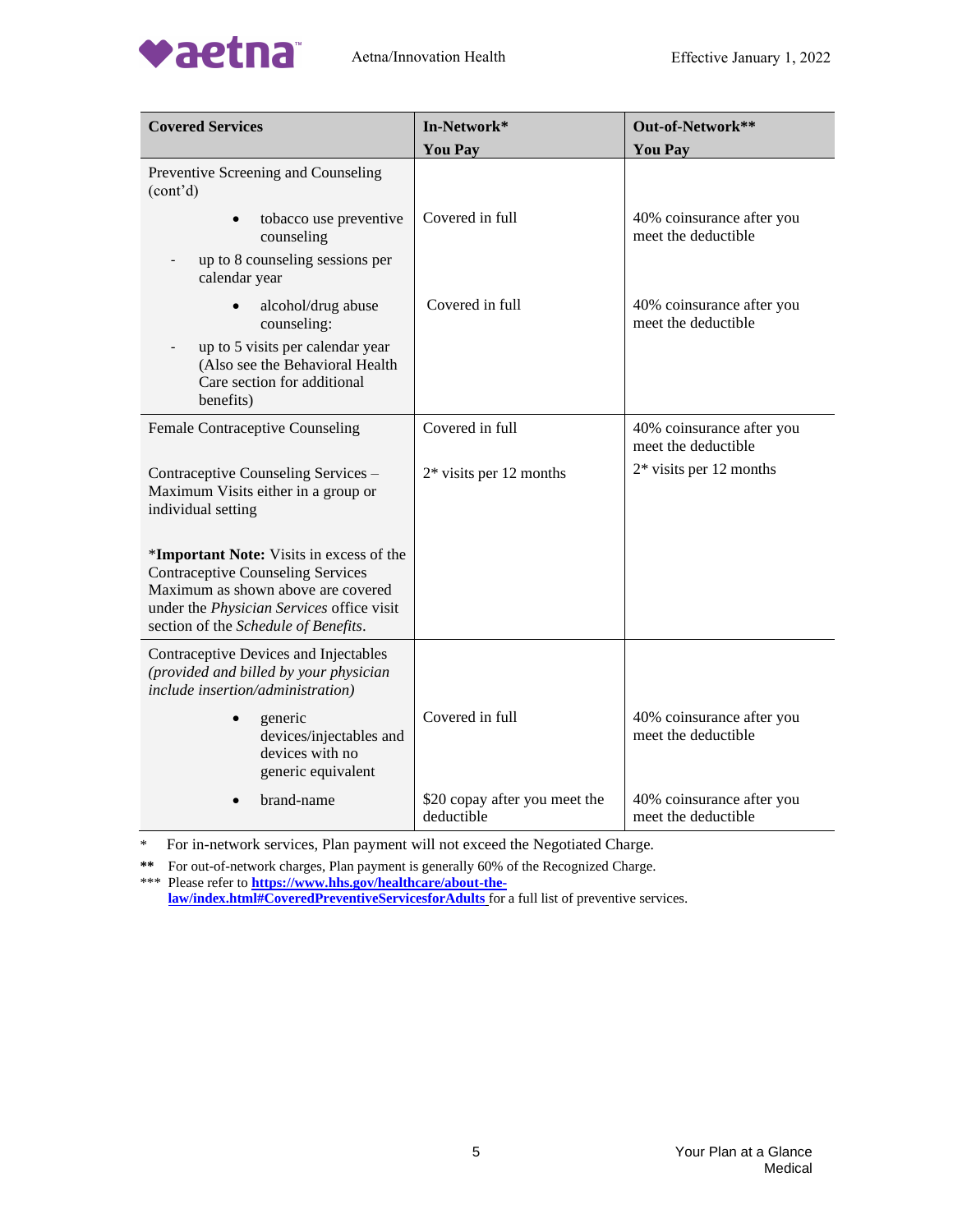

| <b>Covered Services</b>                                                                                                                                                                                         | In-Network*                                 | Out-of-Network**                                 |
|-----------------------------------------------------------------------------------------------------------------------------------------------------------------------------------------------------------------|---------------------------------------------|--------------------------------------------------|
|                                                                                                                                                                                                                 | <b>You Pay</b>                              | <b>You Pay</b>                                   |
| Preventive Screening and Counseling<br>(cont'd)                                                                                                                                                                 |                                             |                                                  |
| tobacco use preventive<br>$\bullet$<br>counseling                                                                                                                                                               | Covered in full                             | 40% coinsurance after you<br>meet the deductible |
| up to 8 counseling sessions per<br>calendar year                                                                                                                                                                |                                             |                                                  |
| alcohol/drug abuse<br>$\bullet$<br>counseling:                                                                                                                                                                  | Covered in full                             | 40% coinsurance after you<br>meet the deductible |
| up to 5 visits per calendar year<br>(Also see the Behavioral Health<br>Care section for additional<br>benefits)                                                                                                 |                                             |                                                  |
| Female Contraceptive Counseling                                                                                                                                                                                 | Covered in full                             | 40% coinsurance after you<br>meet the deductible |
| Contraceptive Counseling Services -<br>Maximum Visits either in a group or<br>individual setting                                                                                                                | $2*$ visits per 12 months                   | $2*$ visits per 12 months                        |
| *Important Note: Visits in excess of the<br><b>Contraceptive Counseling Services</b><br>Maximum as shown above are covered<br>under the Physician Services office visit<br>section of the Schedule of Benefits. |                                             |                                                  |
| Contraceptive Devices and Injectables<br>(provided and billed by your physician<br>include insertion/administration)                                                                                            |                                             |                                                  |
| generic<br>devices/injectables and<br>devices with no<br>generic equivalent                                                                                                                                     | Covered in full                             | 40% coinsurance after you<br>meet the deductible |
| brand-name                                                                                                                                                                                                      | \$20 copay after you meet the<br>deductible | 40% coinsurance after you<br>meet the deductible |

**\*\*** For out-of-network charges, Plan payment is generally 60% of the Recognized Charge. \*\*\* Please refer to **[https://www.hhs.gov/healthcare/about-the-](https://www.hhs.gov/healthcare/about-the-law/index.html#CoveredPreventiveServicesforAdults)**

**[law/index.html#CoveredPreventiveServicesforAdults](https://www.hhs.gov/healthcare/about-the-law/index.html#CoveredPreventiveServicesforAdults)** for a full list of preventive services.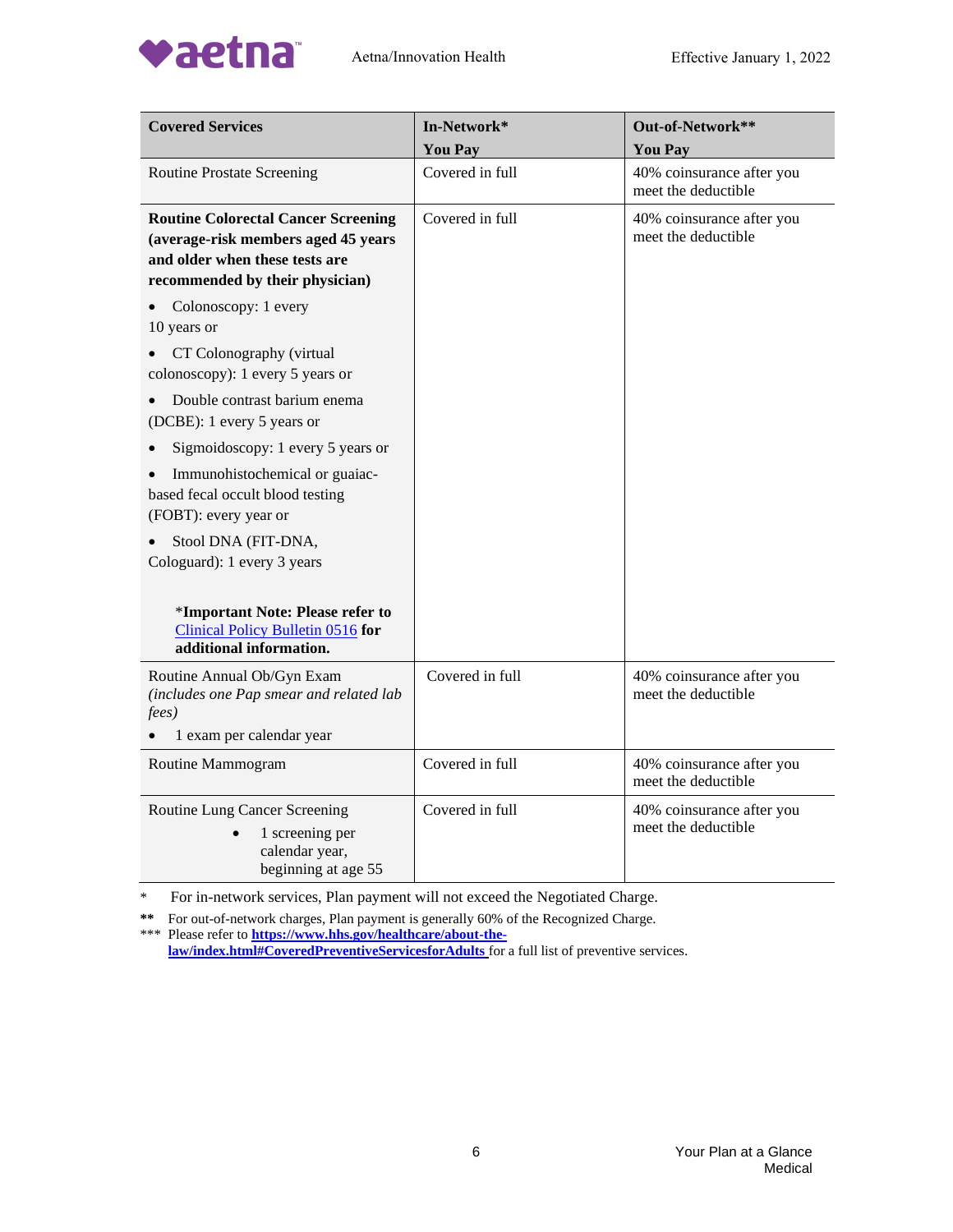

vaetna



| <b>Covered Services</b>                                                                                                                                | In-Network*     | Out-of-Network**                                 |
|--------------------------------------------------------------------------------------------------------------------------------------------------------|-----------------|--------------------------------------------------|
|                                                                                                                                                        | <b>You Pay</b>  | <b>You Pay</b>                                   |
| <b>Routine Prostate Screening</b>                                                                                                                      | Covered in full | 40% coinsurance after you<br>meet the deductible |
| <b>Routine Colorectal Cancer Screening</b><br>(average-risk members aged 45 years<br>and older when these tests are<br>recommended by their physician) | Covered in full | 40% coinsurance after you<br>meet the deductible |
| Colonoscopy: 1 every<br>10 years or                                                                                                                    |                 |                                                  |
| CT Colonography (virtual<br>colonoscopy): 1 every 5 years or                                                                                           |                 |                                                  |
| Double contrast barium enema<br>(DCBE): 1 every 5 years or                                                                                             |                 |                                                  |
| Sigmoidoscopy: 1 every 5 years or                                                                                                                      |                 |                                                  |
| Immunohistochemical or guaiac-<br>based fecal occult blood testing<br>(FOBT): every year or                                                            |                 |                                                  |
| Stool DNA (FIT-DNA,<br>Cologuard): 1 every 3 years                                                                                                     |                 |                                                  |
| *Important Note: Please refer to<br>Clinical Policy Bulletin 0516 for<br>additional information.                                                       |                 |                                                  |
| Routine Annual Ob/Gyn Exam<br>(includes one Pap smear and related lab<br>fees)                                                                         | Covered in full | 40% coinsurance after you<br>meet the deductible |
| 1 exam per calendar year                                                                                                                               |                 |                                                  |
| Routine Mammogram                                                                                                                                      | Covered in full | 40% coinsurance after you<br>meet the deductible |
| Routine Lung Cancer Screening<br>1 screening per<br>calendar year,<br>beginning at age 55                                                              | Covered in full | 40% coinsurance after you<br>meet the deductible |

For in-network services, Plan payment will not exceed the Negotiated Charge.

**\*\*** For out-of-network charges, Plan payment is generally 60% of the Recognized Charge. \*\*\* Please refer to **[https://www.hhs.gov/healthcare/about-the-](https://www.hhs.gov/healthcare/about-the-law/index.html#CoveredPreventiveServicesforAdults)**

**[law/index.html#CoveredPreventiveServicesforAdults](https://www.hhs.gov/healthcare/about-the-law/index.html#CoveredPreventiveServicesforAdults)** for a full list of preventive services.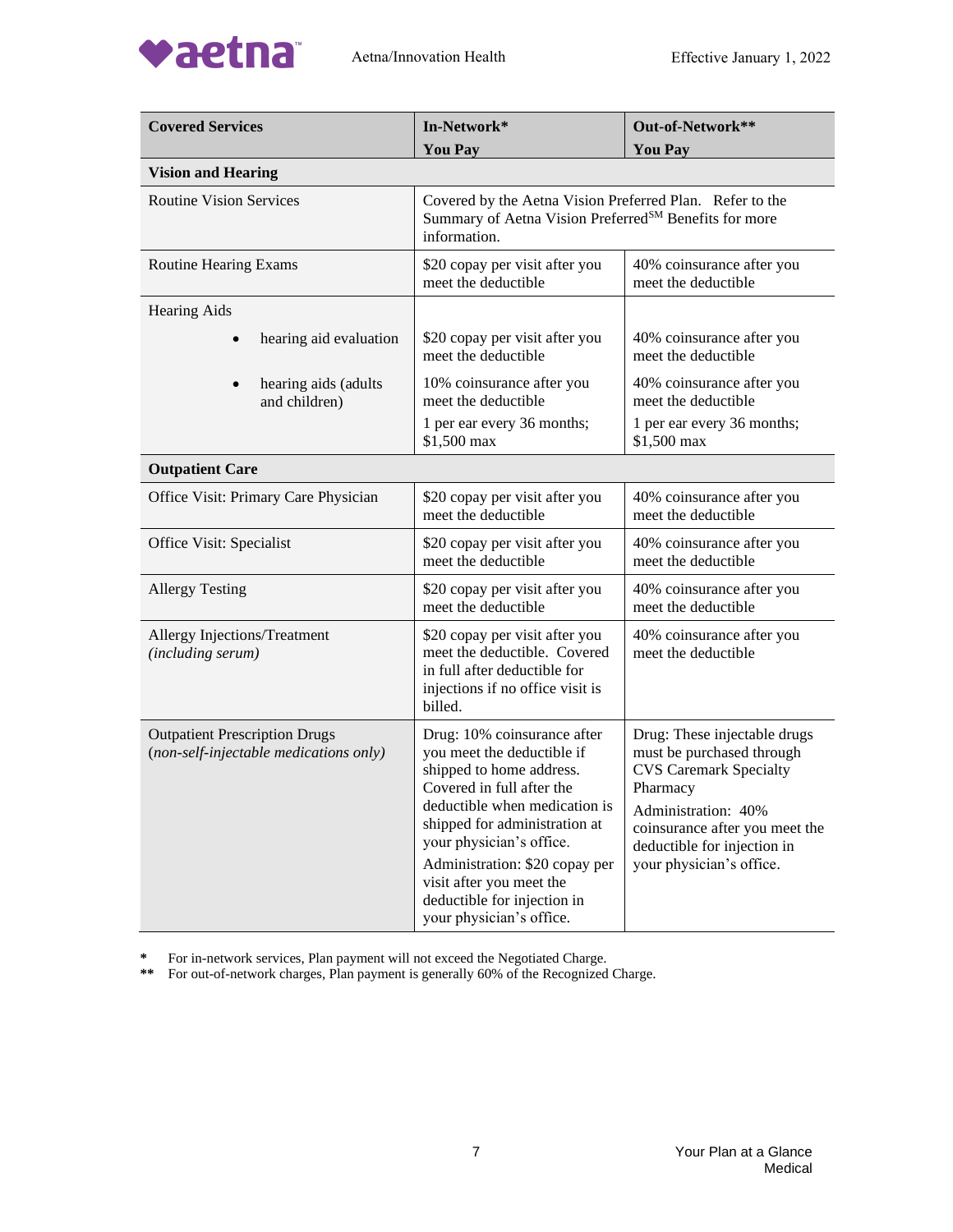

| <b>Covered Services</b>                                                        | In-Network*                                                                                                                                                                                                                                                                                                                               | Out-of-Network**                                                                                                                                                                                                           |  |
|--------------------------------------------------------------------------------|-------------------------------------------------------------------------------------------------------------------------------------------------------------------------------------------------------------------------------------------------------------------------------------------------------------------------------------------|----------------------------------------------------------------------------------------------------------------------------------------------------------------------------------------------------------------------------|--|
|                                                                                | <b>You Pay</b>                                                                                                                                                                                                                                                                                                                            | <b>You Pay</b>                                                                                                                                                                                                             |  |
| <b>Vision and Hearing</b>                                                      |                                                                                                                                                                                                                                                                                                                                           |                                                                                                                                                                                                                            |  |
| <b>Routine Vision Services</b>                                                 | Covered by the Aetna Vision Preferred Plan. Refer to the<br>Summary of Aetna Vision Preferred <sup>SM</sup> Benefits for more<br>information.                                                                                                                                                                                             |                                                                                                                                                                                                                            |  |
| <b>Routine Hearing Exams</b>                                                   | \$20 copay per visit after you<br>meet the deductible                                                                                                                                                                                                                                                                                     | 40% coinsurance after you<br>meet the deductible                                                                                                                                                                           |  |
| <b>Hearing Aids</b>                                                            |                                                                                                                                                                                                                                                                                                                                           |                                                                                                                                                                                                                            |  |
| hearing aid evaluation<br>$\bullet$                                            | \$20 copay per visit after you<br>meet the deductible                                                                                                                                                                                                                                                                                     | 40% coinsurance after you<br>meet the deductible                                                                                                                                                                           |  |
| hearing aids (adults<br>and children)                                          | 10% coinsurance after you<br>meet the deductible                                                                                                                                                                                                                                                                                          | 40% coinsurance after you<br>meet the deductible                                                                                                                                                                           |  |
|                                                                                | 1 per ear every 36 months;<br>\$1,500 max                                                                                                                                                                                                                                                                                                 | 1 per ear every 36 months;<br>\$1,500 max                                                                                                                                                                                  |  |
| <b>Outpatient Care</b>                                                         |                                                                                                                                                                                                                                                                                                                                           |                                                                                                                                                                                                                            |  |
| Office Visit: Primary Care Physician                                           | \$20 copay per visit after you<br>meet the deductible                                                                                                                                                                                                                                                                                     | 40% coinsurance after you<br>meet the deductible                                                                                                                                                                           |  |
| Office Visit: Specialist                                                       | \$20 copay per visit after you<br>meet the deductible                                                                                                                                                                                                                                                                                     | 40% coinsurance after you<br>meet the deductible                                                                                                                                                                           |  |
| <b>Allergy Testing</b>                                                         | \$20 copay per visit after you<br>meet the deductible                                                                                                                                                                                                                                                                                     | 40% coinsurance after you<br>meet the deductible                                                                                                                                                                           |  |
| Allergy Injections/Treatment<br>(including serum)                              | \$20 copay per visit after you<br>meet the deductible. Covered<br>in full after deductible for<br>injections if no office visit is<br>billed.                                                                                                                                                                                             | 40% coinsurance after you<br>meet the deductible                                                                                                                                                                           |  |
| <b>Outpatient Prescription Drugs</b><br>(non-self-injectable medications only) | Drug: 10% coinsurance after<br>you meet the deductible if<br>shipped to home address.<br>Covered in full after the<br>deductible when medication is<br>shipped for administration at<br>your physician's office.<br>Administration: \$20 copay per<br>visit after you meet the<br>deductible for injection in<br>your physician's office. | Drug: These injectable drugs<br>must be purchased through<br><b>CVS Caremark Specialty</b><br>Pharmacy<br>Administration: 40%<br>coinsurance after you meet the<br>deductible for injection in<br>your physician's office. |  |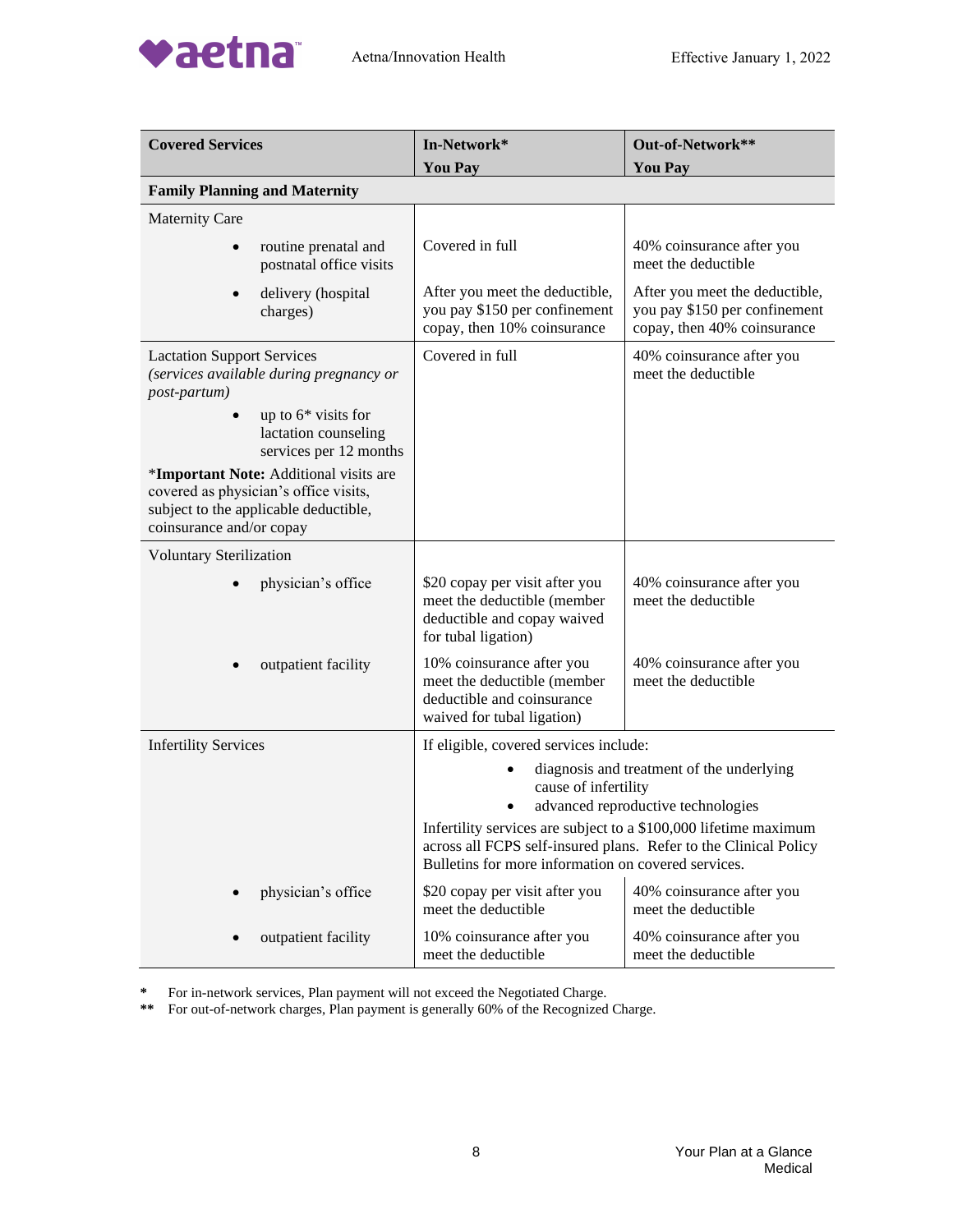

| <b>Covered Services</b>                                                                                                                              | In-Network*<br><b>You Pay</b>                                                                                                                                                               | Out-of-Network**<br><b>You Pay</b>                                                             |
|------------------------------------------------------------------------------------------------------------------------------------------------------|---------------------------------------------------------------------------------------------------------------------------------------------------------------------------------------------|------------------------------------------------------------------------------------------------|
| <b>Family Planning and Maternity</b>                                                                                                                 |                                                                                                                                                                                             |                                                                                                |
| <b>Maternity Care</b>                                                                                                                                |                                                                                                                                                                                             |                                                                                                |
| routine prenatal and<br>postnatal office visits                                                                                                      | Covered in full                                                                                                                                                                             | 40% coinsurance after you<br>meet the deductible                                               |
| delivery (hospital<br>charges)                                                                                                                       | After you meet the deductible,<br>you pay \$150 per confinement<br>copay, then 10% coinsurance                                                                                              | After you meet the deductible,<br>you pay \$150 per confinement<br>copay, then 40% coinsurance |
| <b>Lactation Support Services</b><br>(services available during pregnancy or<br>post-partum)                                                         | Covered in full                                                                                                                                                                             | 40% coinsurance after you<br>meet the deductible                                               |
| up to $6*$ visits for<br>lactation counseling<br>services per 12 months                                                                              |                                                                                                                                                                                             |                                                                                                |
| *Important Note: Additional visits are<br>covered as physician's office visits,<br>subject to the applicable deductible,<br>coinsurance and/or copay |                                                                                                                                                                                             |                                                                                                |
| <b>Voluntary Sterilization</b>                                                                                                                       |                                                                                                                                                                                             |                                                                                                |
| physician's office                                                                                                                                   | \$20 copay per visit after you<br>meet the deductible (member<br>deductible and copay waived<br>for tubal ligation)                                                                         | 40% coinsurance after you<br>meet the deductible                                               |
| outpatient facility                                                                                                                                  | 10% coinsurance after you<br>meet the deductible (member<br>deductible and coinsurance<br>waived for tubal ligation)                                                                        | 40% coinsurance after you<br>meet the deductible                                               |
| <b>Infertility Services</b>                                                                                                                          | If eligible, covered services include:                                                                                                                                                      |                                                                                                |
|                                                                                                                                                      | diagnosis and treatment of the underlying<br>cause of infertility<br>advanced reproductive technologies                                                                                     |                                                                                                |
|                                                                                                                                                      | Infertility services are subject to a \$100,000 lifetime maximum<br>across all FCPS self-insured plans. Refer to the Clinical Policy<br>Bulletins for more information on covered services. |                                                                                                |
| physician's office                                                                                                                                   | \$20 copay per visit after you<br>meet the deductible                                                                                                                                       | 40% coinsurance after you<br>meet the deductible                                               |
| outpatient facility                                                                                                                                  | 10% coinsurance after you<br>meet the deductible                                                                                                                                            | 40% coinsurance after you<br>meet the deductible                                               |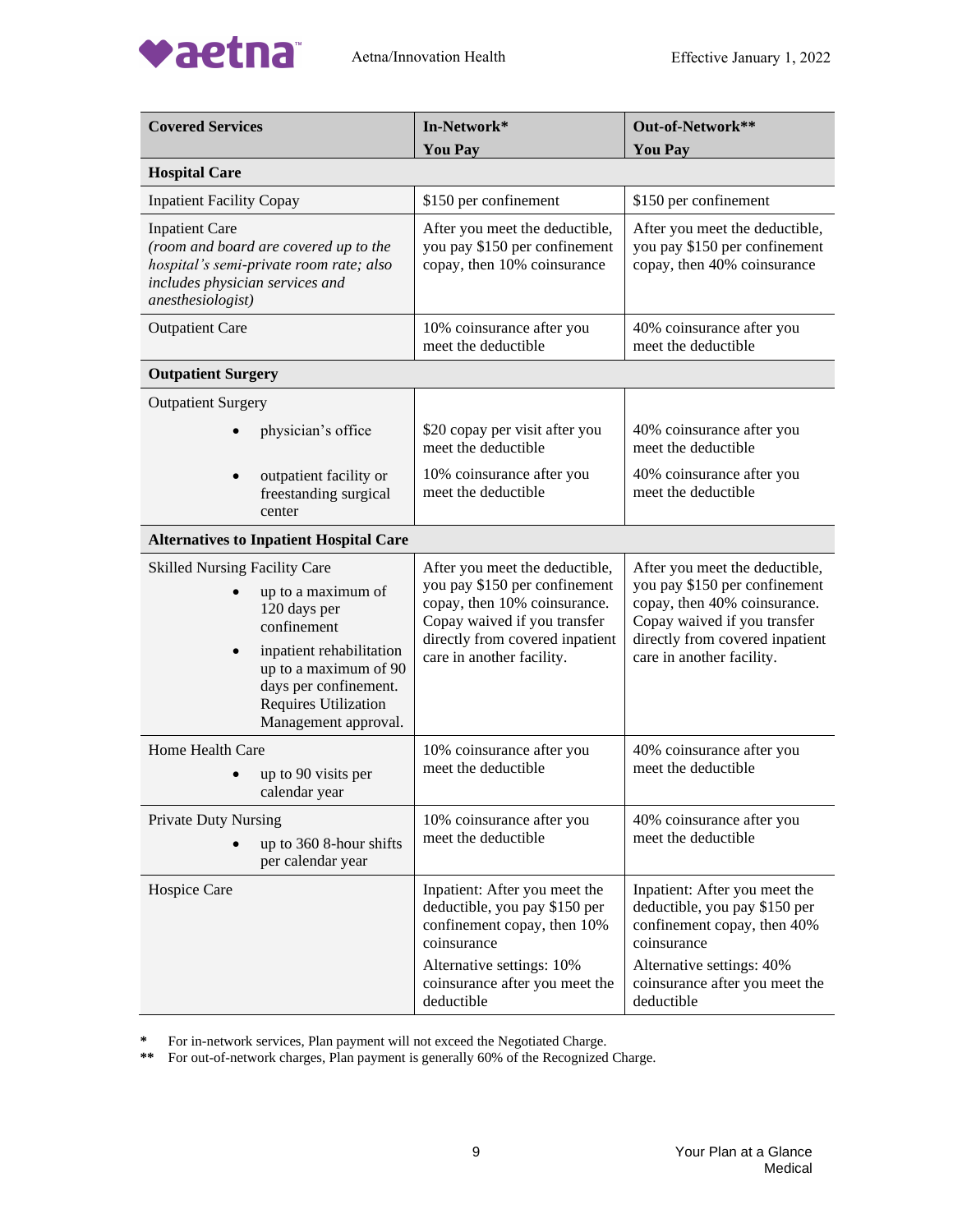

| <b>Covered Services</b>                                                                                                                                                                                                                     | In-Network*<br><b>You Pay</b>                                                                                                                                                                   | Out-of-Network**<br><b>You Pay</b>                                                                                                                                                              |
|---------------------------------------------------------------------------------------------------------------------------------------------------------------------------------------------------------------------------------------------|-------------------------------------------------------------------------------------------------------------------------------------------------------------------------------------------------|-------------------------------------------------------------------------------------------------------------------------------------------------------------------------------------------------|
| <b>Hospital Care</b>                                                                                                                                                                                                                        |                                                                                                                                                                                                 |                                                                                                                                                                                                 |
| <b>Inpatient Facility Copay</b>                                                                                                                                                                                                             | \$150 per confinement                                                                                                                                                                           | \$150 per confinement                                                                                                                                                                           |
| <b>Inpatient Care</b><br>(room and board are covered up to the<br>hospital's semi-private room rate; also<br>includes physician services and<br>anesthesiologist)                                                                           | After you meet the deductible,<br>you pay \$150 per confinement<br>copay, then 10% coinsurance                                                                                                  | After you meet the deductible,<br>you pay \$150 per confinement<br>copay, then 40% coinsurance                                                                                                  |
| <b>Outpatient Care</b>                                                                                                                                                                                                                      | 10% coinsurance after you<br>meet the deductible                                                                                                                                                | 40% coinsurance after you<br>meet the deductible                                                                                                                                                |
| <b>Outpatient Surgery</b>                                                                                                                                                                                                                   |                                                                                                                                                                                                 |                                                                                                                                                                                                 |
| <b>Outpatient Surgery</b>                                                                                                                                                                                                                   |                                                                                                                                                                                                 |                                                                                                                                                                                                 |
| physician's office                                                                                                                                                                                                                          | \$20 copay per visit after you<br>meet the deductible                                                                                                                                           | 40% coinsurance after you<br>meet the deductible                                                                                                                                                |
| outpatient facility or<br>freestanding surgical<br>center                                                                                                                                                                                   | 10% coinsurance after you<br>meet the deductible                                                                                                                                                | 40% coinsurance after you<br>meet the deductible                                                                                                                                                |
| <b>Alternatives to Inpatient Hospital Care</b>                                                                                                                                                                                              |                                                                                                                                                                                                 |                                                                                                                                                                                                 |
| <b>Skilled Nursing Facility Care</b><br>up to a maximum of<br>120 days per<br>confinement<br>inpatient rehabilitation<br>$\bullet$<br>up to a maximum of 90<br>days per confinement.<br><b>Requires Utilization</b><br>Management approval. | After you meet the deductible,<br>you pay \$150 per confinement<br>copay, then 10% coinsurance.<br>Copay waived if you transfer<br>directly from covered inpatient<br>care in another facility. | After you meet the deductible,<br>you pay \$150 per confinement<br>copay, then 40% coinsurance.<br>Copay waived if you transfer<br>directly from covered inpatient<br>care in another facility. |
| Home Health Care<br>up to 90 visits per<br>calendar year                                                                                                                                                                                    | 10% coinsurance after you<br>meet the deductible                                                                                                                                                | 40% coinsurance after you<br>meet the deductible                                                                                                                                                |
| <b>Private Duty Nursing</b><br>up to 360 8-hour shifts<br>per calendar year                                                                                                                                                                 | 10% coinsurance after you<br>meet the deductible                                                                                                                                                | 40% coinsurance after you<br>meet the deductible                                                                                                                                                |
| Hospice Care                                                                                                                                                                                                                                | Inpatient: After you meet the<br>deductible, you pay \$150 per<br>confinement copay, then 10%<br>coinsurance<br>Alternative settings: 10%                                                       | Inpatient: After you meet the<br>deductible, you pay \$150 per<br>confinement copay, then 40%<br>coinsurance<br>Alternative settings: 40%                                                       |
|                                                                                                                                                                                                                                             | coinsurance after you meet the<br>deductible                                                                                                                                                    | coinsurance after you meet the<br>deductible                                                                                                                                                    |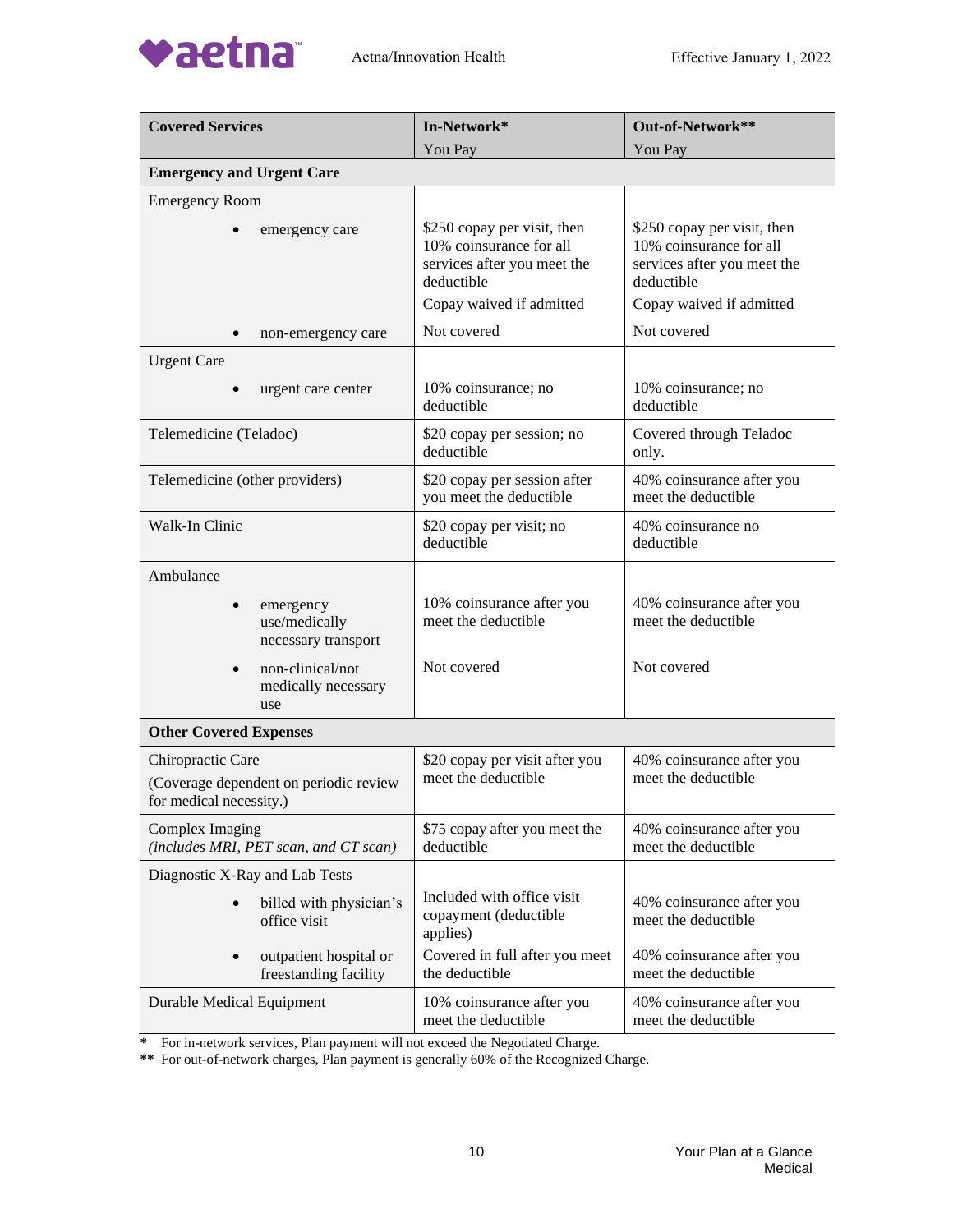

| <b>Covered Services</b>                                                                | In-Network*                                                                                                                     | Out-of-Network**                                                                                                                |
|----------------------------------------------------------------------------------------|---------------------------------------------------------------------------------------------------------------------------------|---------------------------------------------------------------------------------------------------------------------------------|
|                                                                                        | You Pay                                                                                                                         | You Pay                                                                                                                         |
| <b>Emergency and Urgent Care</b>                                                       |                                                                                                                                 |                                                                                                                                 |
| <b>Emergency Room</b>                                                                  |                                                                                                                                 |                                                                                                                                 |
| emergency care                                                                         | \$250 copay per visit, then<br>10% coinsurance for all<br>services after you meet the<br>deductible<br>Copay waived if admitted | \$250 copay per visit, then<br>10% coinsurance for all<br>services after you meet the<br>deductible<br>Copay waived if admitted |
| non-emergency care                                                                     | Not covered                                                                                                                     | Not covered                                                                                                                     |
| <b>Urgent Care</b>                                                                     |                                                                                                                                 |                                                                                                                                 |
| urgent care center                                                                     | 10% coinsurance; no<br>deductible                                                                                               | 10% coinsurance; no<br>deductible                                                                                               |
| Telemedicine (Teladoc)                                                                 | \$20 copay per session; no<br>deductible                                                                                        | Covered through Teladoc<br>only.                                                                                                |
| Telemedicine (other providers)                                                         | \$20 copay per session after<br>you meet the deductible                                                                         | 40% coinsurance after you<br>meet the deductible                                                                                |
| Walk-In Clinic                                                                         | \$20 copay per visit; no<br>deductible                                                                                          | 40% coinsurance no<br>deductible                                                                                                |
| Ambulance                                                                              |                                                                                                                                 |                                                                                                                                 |
| emergency<br>use/medically<br>necessary transport                                      | 10% coinsurance after you<br>meet the deductible                                                                                | 40% coinsurance after you<br>meet the deductible                                                                                |
| non-clinical/not<br>medically necessary<br>use                                         | Not covered                                                                                                                     | Not covered                                                                                                                     |
| <b>Other Covered Expenses</b>                                                          |                                                                                                                                 |                                                                                                                                 |
| Chiropractic Care<br>(Coverage dependent on periodic review<br>for medical necessity.) | \$20 copay per visit after you<br>meet the deductible                                                                           | 40% coinsurance after you<br>meet the deductible                                                                                |
| Complex Imaging<br>(includes MRI, PET scan, and CT scan)                               | \$75 copay after you meet the<br>deductible                                                                                     | 40% coinsurance after you<br>meet the deductible                                                                                |
| Diagnostic X-Ray and Lab Tests                                                         |                                                                                                                                 |                                                                                                                                 |
| billed with physician's<br>office visit                                                | Included with office visit<br>copayment (deductible<br>applies)                                                                 | 40% coinsurance after you<br>meet the deductible                                                                                |
| outpatient hospital or<br>freestanding facility                                        | Covered in full after you meet<br>the deductible                                                                                | 40% coinsurance after you<br>meet the deductible                                                                                |
| Durable Medical Equipment                                                              | 10% coinsurance after you<br>meet the deductible                                                                                | 40% coinsurance after you<br>meet the deductible                                                                                |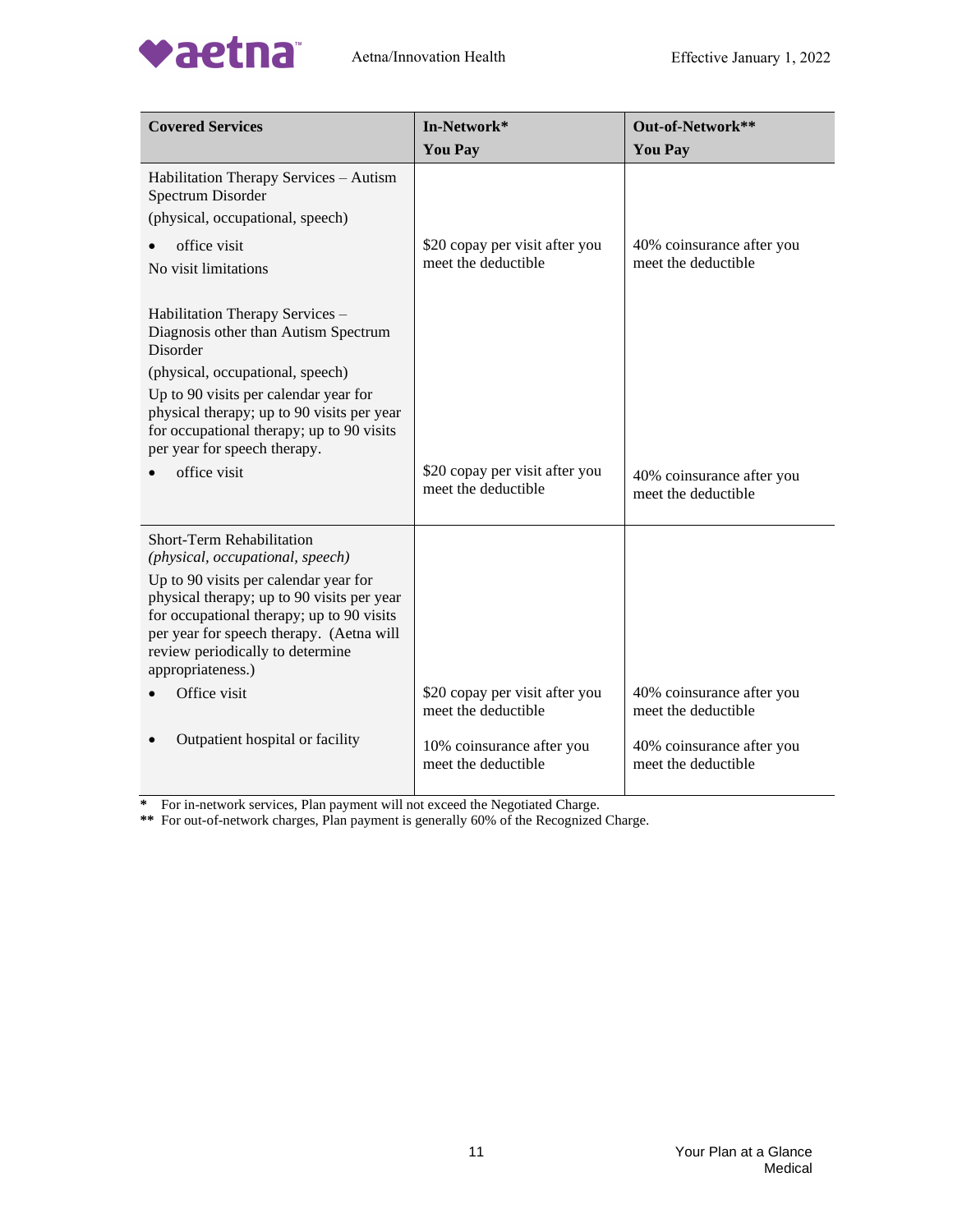

| <b>Covered Services</b>                                                                                                                                                                                                               | In-Network*                                           | Out-of-Network**                                 |
|---------------------------------------------------------------------------------------------------------------------------------------------------------------------------------------------------------------------------------------|-------------------------------------------------------|--------------------------------------------------|
|                                                                                                                                                                                                                                       | <b>You Pay</b>                                        | <b>You Pay</b>                                   |
| Habilitation Therapy Services - Autism<br>Spectrum Disorder<br>(physical, occupational, speech)                                                                                                                                       |                                                       |                                                  |
| office visit<br>No visit limitations                                                                                                                                                                                                  | \$20 copay per visit after you<br>meet the deductible | 40% coinsurance after you<br>meet the deductible |
| Habilitation Therapy Services -<br>Diagnosis other than Autism Spectrum<br>Disorder                                                                                                                                                   |                                                       |                                                  |
| (physical, occupational, speech)<br>Up to 90 visits per calendar year for<br>physical therapy; up to 90 visits per year<br>for occupational therapy; up to 90 visits<br>per year for speech therapy.                                  |                                                       |                                                  |
| office visit                                                                                                                                                                                                                          | \$20 copay per visit after you<br>meet the deductible | 40% coinsurance after you<br>meet the deductible |
| Short-Term Rehabilitation<br>(physical, occupational, speech)                                                                                                                                                                         |                                                       |                                                  |
| Up to 90 visits per calendar year for<br>physical therapy; up to 90 visits per year<br>for occupational therapy; up to 90 visits<br>per year for speech therapy. (Aetna will<br>review periodically to determine<br>appropriateness.) |                                                       |                                                  |
| Office visit                                                                                                                                                                                                                          | \$20 copay per visit after you<br>meet the deductible | 40% coinsurance after you<br>meet the deductible |
| Outpatient hospital or facility                                                                                                                                                                                                       | 10% coinsurance after you<br>meet the deductible      | 40% coinsurance after you<br>meet the deductible |